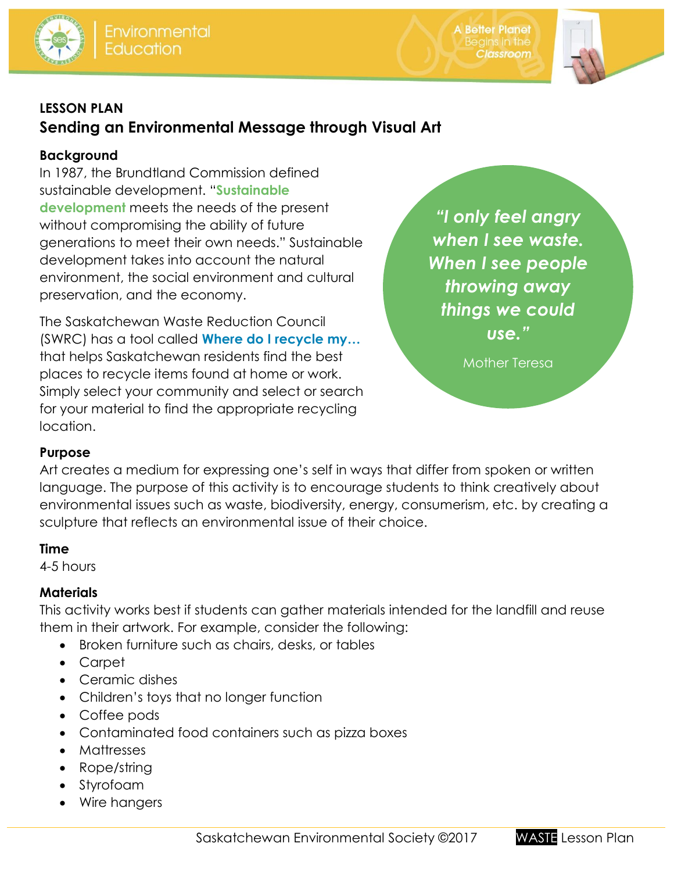

**A Better Planet Classroom** 



### **LESSON PLAN**

## **Sending an Environmental Message through Visual Art**

### **Background**

In 1987, the Brundtland Commission defined sustainable development. "**Sustainable development** meets the needs of the present without compromising the ability of future generations to meet their own needs." Sustainable development takes into account the natural environment, the social environment and cultural preservation, and the economy.

The Saskatchewan Waste Reduction Council (SWRC) has a tool called **[Where do I recycle my…](http://www.saskwastereduction.ca/recycle)** that helps Saskatchewan residents find the best places to recycle items found at home or work. Simply select your community and select or search for your material to find the appropriate recycling location.

*"I only feel angry when I see waste. When I see people throwing away things we could use."*

Mother Teresa

### **Purpose**

Art creates a medium for expressing one's self in ways that differ from spoken or written language. The purpose of this activity is to encourage students to think creatively about environmental issues such as waste, biodiversity, energy, consumerism, etc. by creating a sculpture that reflects an environmental issue of their choice.

### **Time**

4-5 hours

### **Materials**

This activity works best if students can gather materials intended for the landfill and reuse them in their artwork. For example, consider the following:

- Broken furniture such as chairs, desks, or tables
- Carpet
- Ceramic dishes
- Children's toys that no longer function
- Coffee pods
- Contaminated food containers such as pizza boxes
- Mattresses
- Rope/string
- Styrofoam
- Wire hangers

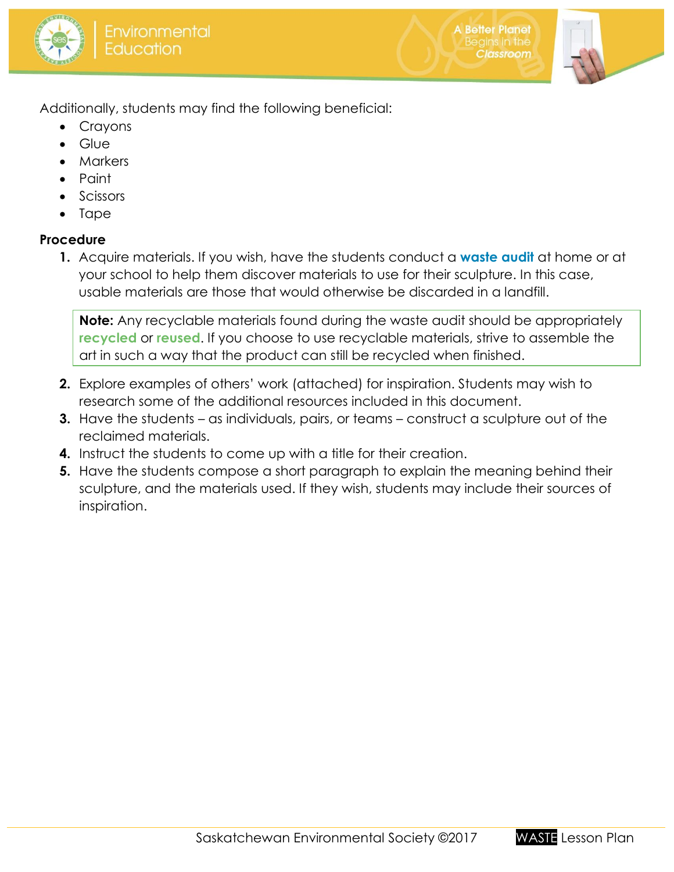



**A Better Planet** 

**Classroom** 

Additionally, students may find the following beneficial:

- Crayons
- Glue
- Markers
- Paint
- Scissors
- Tape

### **Procedure**

**1.** Acquire materials. If you wish, have the students conduct a **[waste audit](http://environmentalsociety.ca/wp-content/uploads/2015/07/Waste-audit-garbage-sort.pdf)** at home or at your school to help them discover materials to use for their sculpture. In this case, usable materials are those that would otherwise be discarded in a landfill.

**Note:** Any recyclable materials found during the waste audit should be appropriately **recycled** or **reused**. If you choose to use recyclable materials, strive to assemble the art in such a way that the product can still be recycled when finished.

- **2.** Explore examples of others' work (attached) for inspiration. Students may wish to research some of the additional resources included in this document.
- **3.** Have the students as individuals, pairs, or teams construct a sculpture out of the reclaimed materials.
- **4.** Instruct the students to come up with a title for their creation.
- **5.** Have the students compose a short paragraph to explain the meaning behind their sculpture, and the materials used. If they wish, students may include their sources of inspiration.

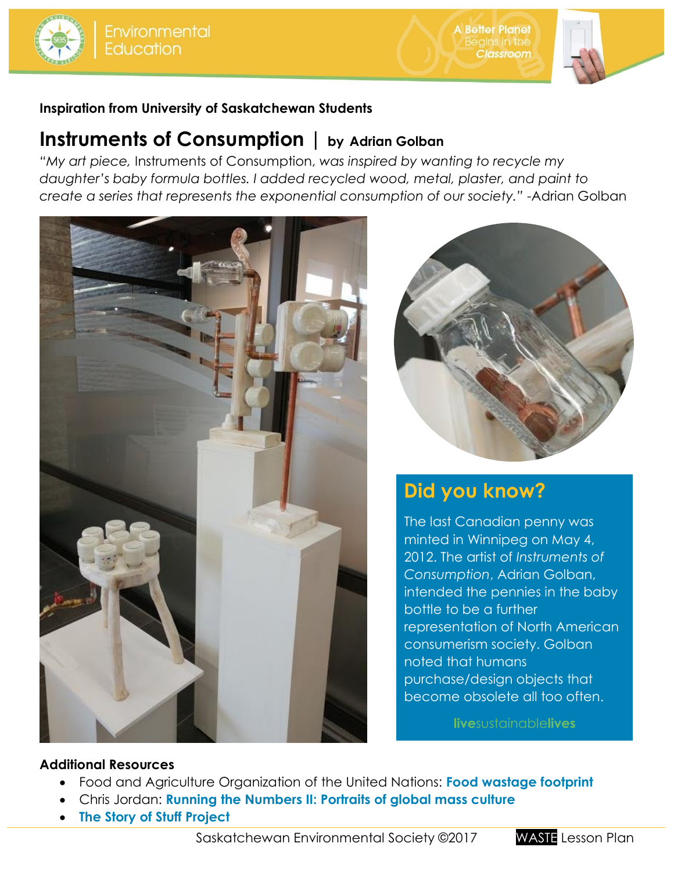



### **Inspiration from University of Saskatchewan Students**

## **Instruments of Consumption | by Adrian Golban**

*"My art piece,* Instruments of Consumption, *was inspired by wanting to recycle my daughter's baby formula bottles. I added recycled wood, metal, plaster, and paint to create a series that represents the exponential consumption of our society."* -Adrian Golban





**A Better Planet** 

**Classroom** 

# **Did you know?**

The last Canadian penny was minted in Winnipeg on May 4, 2012. The artist of *Instruments of Consumption*, Adrian Golban, intended the pennies in the baby bottle to be a further representation of North American consumerism society. Golban noted that humans purchase/design objects that become obsolete all too often.

**live**sustainable**lives**

### **Additional Resources**

- Food and Agriculture Organization of the United Nations: **[Food wastage footprint](https://www.youtube.com/watch?v=IoCVrkcaH6Q)**
- [Chris](http://savethefood.com/) Jordan: **[Running the Numbers II: Portraits of global mass culture](http://www.chrisjordan.com/gallery/rtn2/#water-bottles)**
- **[The Story of Stuff Project](http://storyofstuff.org/)**

Saskatchewan Environmental Society ©2017 WASTE Lesson Plan

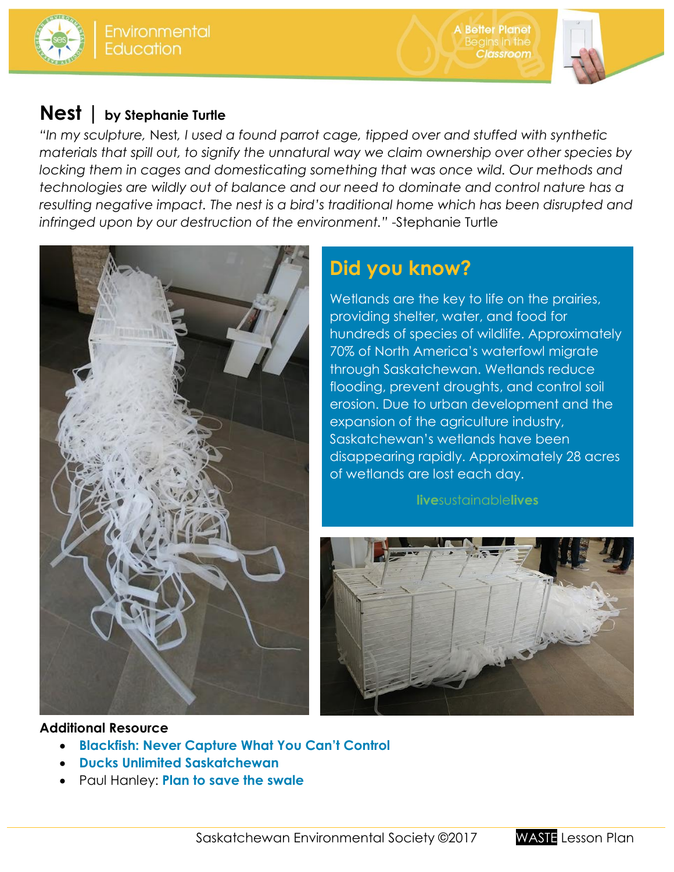





## **Nest | [by Stephanie Turtle](http://storyofstuff.org/)**

*"In my sculpture,* Nest*[, I used a found parrot cage, tipped over and stuffed with synthetic](http://storyofstuff.org/)  [materials that spill out, to signify the unnatural way we claim ownership over other species by](http://storyofstuff.org/)  [locking them in cages and domesticating something that was once wild. Our methods and](http://storyofstuff.org/)  [technologies are wildly out of balance and our need to dominate and control nature has a](http://storyofstuff.org/)  [resulting negative impact. The nest is a bird's traditional home which has been disrupted and](http://storyofstuff.org/)  [infringed upon by our destruction of the environment."](http://storyofstuff.org/)* -Stephanie Turtle



# **Did you know?**

Wetlands are the key to life on the prairies, providing shelter, water, and food for hundreds of species of wildlife. Approximately 70% of North America's waterfowl migrate through Saskatchewan. Wetlands reduce flooding, prevent droughts, and control soil erosion. Due to urban development and the expansion of the agriculture industry, Saskatchewan's wetlands have been disappearing rapidly. Approximately 28 acres of wetlands are lost each day.

### **live**sustainable**lives**



### **[Additional Resource](http://storyofstuff.org/)**

- **[Blackfish: Never Capture What You Can't Control](http://www.magpictures.com/blackfish/)**
- **[Ducks Unlimited Saskatchewan](http://www.ducks.ca/places/saskatchewan/)**
- Paul Hanley: **[Plan to save the swale](http://storyofstuff.org/)**

Saskatchewan Environmental Society ©2017 WASTE Lesson Plan

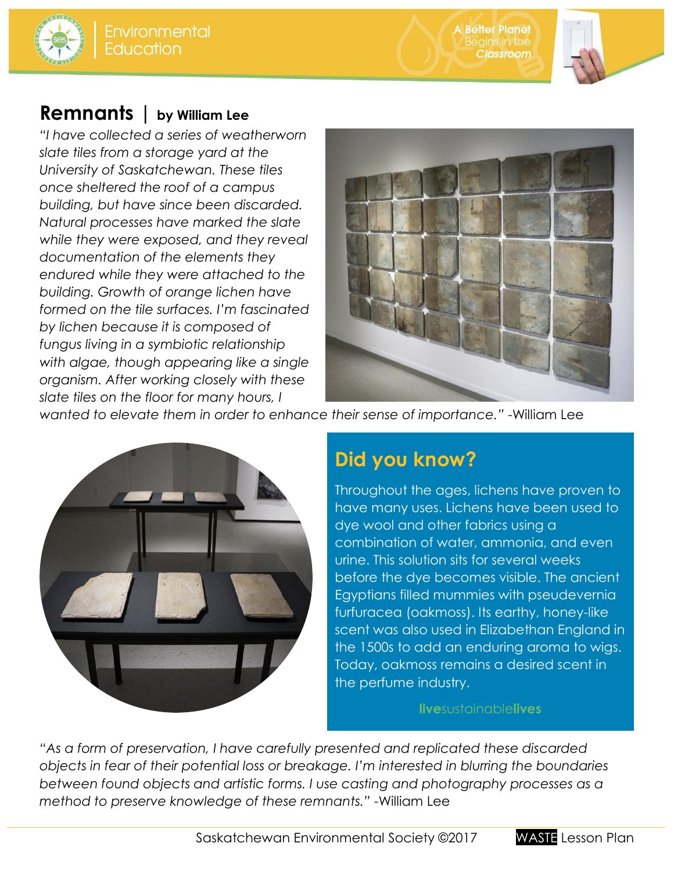**A Better Planet** Classroom



## **Remnants | by William Lee**

*"I have collected a series of weatherworn slate tiles from a storage yard at the University of Saskatchewan. These tiles once sheltered the roof of a campus building, but have since been discarded. Natural processes have marked the slate while they were exposed, and they reveal documentation of the elements they endured while they were attached to the building. Growth of orange lichen have formed on the tile surfaces. I'm fascinated by lichen because it is composed of fungus living in a symbiotic relationship with algae, though appearing like a single organism. After working closely with these slate tiles on the floor for many hours, I* 



*wanted to elevate them in order to enhance their sense of importance."* -William Lee



# **Did you know?**

Throughout the ages, lichens have proven to have many uses. Lichens have been used to dye wool and other fabrics using a combination of water, ammonia, and even urine. This solution sits for several weeks before the dye becomes visible. The ancient Egyptians filled mummies with pseudevernia furfuracea (oakmoss). Its earthy, honey-like scent was also used in Elizabethan England in the 1500s to add an enduring aroma to wigs. Today, oakmoss remains a desired scent in the perfume industry.

#### **live**sustainable**lives**

*"As a form of preservation, I have carefully presented and replicated these discarded objects in fear of their potential loss or breakage. I'm interested in blurring the boundaries between found objects and artistic forms. I use casting and photography processes as a method to preserve knowledge of these remnants."* -William Lee

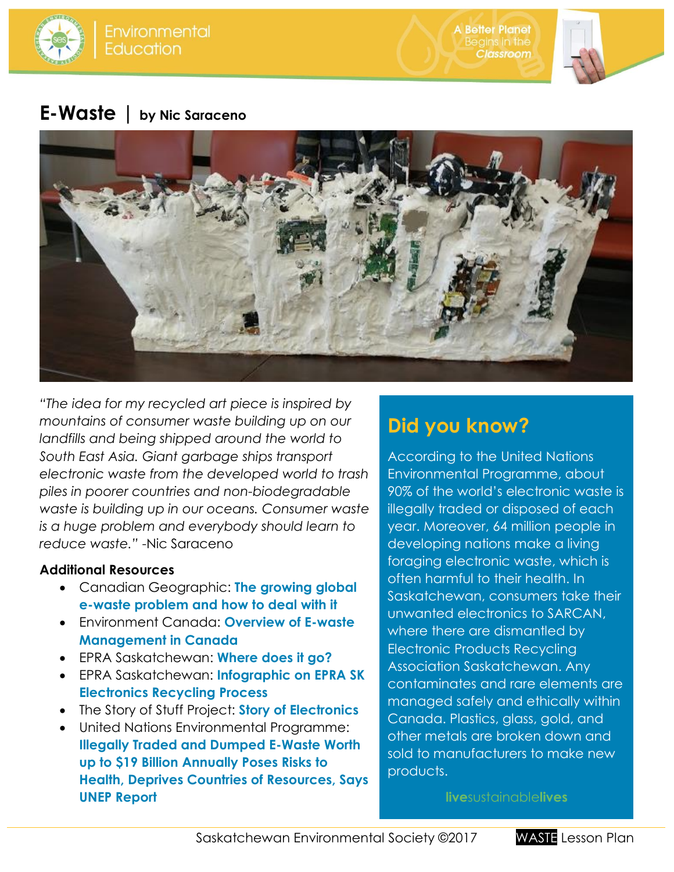

**A Better Planet** Classroom



## **E-Waste | by Nic Saraceno**



*"The idea for my recycled art piece is inspired by mountains of consumer waste building up on our landfills and being shipped around the world to South East Asia. Giant garbage ships transport electronic waste from the developed world to trash piles in poorer countries and non-biodegradable waste is building up in our oceans. Consumer waste is a huge problem and everybody should learn to reduce waste."* -Nic Saraceno

### **Additional Resources**

- Canadian Geographic: **[The growing global](https://www.canadiangeographic.ca/article/growing-global-e-waste-problem-and-how-deal-it)  [e-waste problem and how to deal with it](https://www.canadiangeographic.ca/article/growing-global-e-waste-problem-and-how-deal-it)**
- Environment Canada: **[Overview of E-waste](https://www.epa.gov/sites/production/files/2014-08/documents/canada_country_presentation.pdf)  [Management in Canada](https://www.epa.gov/sites/production/files/2014-08/documents/canada_country_presentation.pdf)**
- EPRA Saskatchewan: **[Where does it go?](http://recyclemyelectronics.ca/sk/what-can-i-do/where-does-it-go/)**
- EPRA Saskatchewan: **[Infographic on EPRA SK](http://recyclemyelectronics.ca/sk/wp-content/uploads/2016/10/EPRA-SK_Infographic.pdf)  [Electronics Recycling Process](http://recyclemyelectronics.ca/sk/wp-content/uploads/2016/10/EPRA-SK_Infographic.pdf)**
- The Story of Stuff Project: **[Story of Electronics](http://storyofstuff.org/movies/story-of-electronics/)**
- United Nations Environmental Programme: **[Illegally Traded and Dumped E-Waste Worth](http://www.rona.unep.org/news/2015/illegally-traded-and-dumped-e-waste-worth-19-billion-annually-poses-risks-health-deprives)  up to \$19 Billion [Annually Poses Risks to](http://www.rona.unep.org/news/2015/illegally-traded-and-dumped-e-waste-worth-19-billion-annually-poses-risks-health-deprives)  [Health, Deprives Countries of Resources, Says](http://www.rona.unep.org/news/2015/illegally-traded-and-dumped-e-waste-worth-19-billion-annually-poses-risks-health-deprives)  [UNEP Report](http://www.rona.unep.org/news/2015/illegally-traded-and-dumped-e-waste-worth-19-billion-annually-poses-risks-health-deprives)**

# **Did you know?**

According to the United Nations Environmental Programme, about 90% of the world's electronic waste is illegally traded or disposed of each year. Moreover, 64 million people in developing nations make a living foraging electronic waste, which is often harmful to their health. In Saskatchewan, consumers take their unwanted electronics to SARCAN, where there are dismantled by Electronic Products Recycling Association Saskatchewan. Any contaminates and rare elements are managed safely and ethically within Canada. Plastics, glass, gold, and other metals are broken down and sold to manufacturers to make new products.

**live**sustainable**lives**